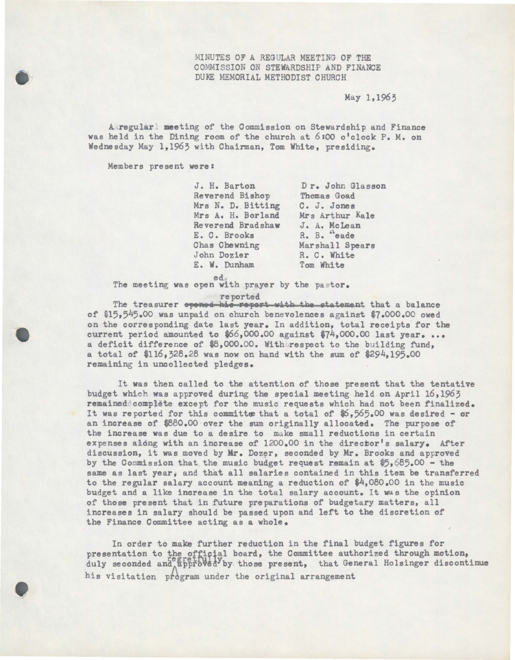MINUTES OF A REGULAR MEETING OF THE COMMISSION ON STEWARDSHIP AND FINANCE DUKE MEMORIAL METHODIST CHURCH

## May 1,1963

A regularl meeting of the Commission on Stewardship and Finance was held in the Dining room of the church at 6:00 o'clock P. M. on Wednesday May 1,1963 with Chairman, Tom White, presiding.

Members present were:

J. H. Barton Reverend Bishop Thomas Goad Mrs N. D. Bitting C. J. Jones Mrs A. H. Borland Mrs Arthur Kale Reverend Bradshaw E. C. Brooks Chas Chewning John Dozier E. W. Dunham <sup>D</sup>r. John Glasson J. A. McLean R. B. <sup>n</sup>eade Marshall Spears R. C. White Tom White

The meeting was open with prayer by the pastor.

reported<br>The treasurer **epaned his report with the statement** that a balance of \$15,545.00 was unpaid on church benevolences against \$7.000.00 owed on the corresponding date last year. In addition, total receipts for the current period amounted to  $$66,000.00$  against  $$74,000.00$  last year... a deficit difference of  $$8,000.00$ . With respect to the building fund, a total of \$116,328.28 was now on hand with the sum *of* \$294,195.00 remaining in uncollected pledges.

It was then called to the attention of those present that the tentative budget which was approved during the special meeting held on April 16,1963 remained complete except for the music requests which had not been finalized. It was reported for this committee that a total of  $$6,565.00$  was desired - or an increase of \$580.00 over the sum originally allocated. The purpose of the increase was due to a desire to make small reductions in certain expenses aldng with an increase of 1200.00 in the director's salary. After discussion, it was moved by Mr. Dozer, seconded by Mr. Brooks and approved by the Commission that the music budget request remain at  $$5,685.00 - the$ same as last year, and that all salaries contained in this item be transferred to the regular salary account meaning a reduction *of* \$4,080.00 in the music budget and a like increase in the total salary account. It was the opinion of those present that in future preparations of budgetary matters, all increases in salary should be passed upon and left to the discretion of the Finance Committee acting as a whole.

In order to make further reduction in the final budget figures for presentation to the official board, the Committee authorized through motion, duly seconded and approved by those present, that General Holsinger discontinue his visitation pfogram under the original arrangement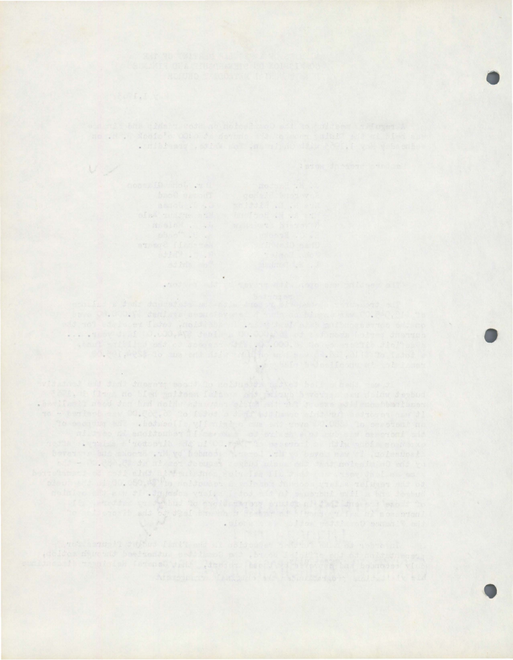me . I . Noaio's OOL fo favors all he were uinful all si his al . In this are , stick med , an a fund data control year which entry

nosta (Arrela) at 1 Fired one of which  $\frac{1}{2}$ 

. bod yet wild

atout with information access with 197,000, by the comments at the read s so well well to me end daily of the mother of a so will be taken to where the hadden the state of the con-

and a clear in the clear and tell and tells are and a solitary Survey . . ... in its few depths<br>and few in the book for had nothin and a source of the tell the source as it was a complement<br>It was received a source of the an haddens di . Sababello glimini o cua and enve 10,088 (o cercado de la processa di .<br>Na lacrescie e constante de la cercado de . with a vision of note rule and with the reservoir or side note controls bever a bus micred , if yo hebned. A second ril to buyed has the increminal a few constants of the formula order with the same mother of any to barristanica de code alaborat de calendario dal diagnosto de consideración de calendario de la comunidad<br>La calendario de 1904-1904, a calendario de la code de calendario de la calendario de la calendario de calenda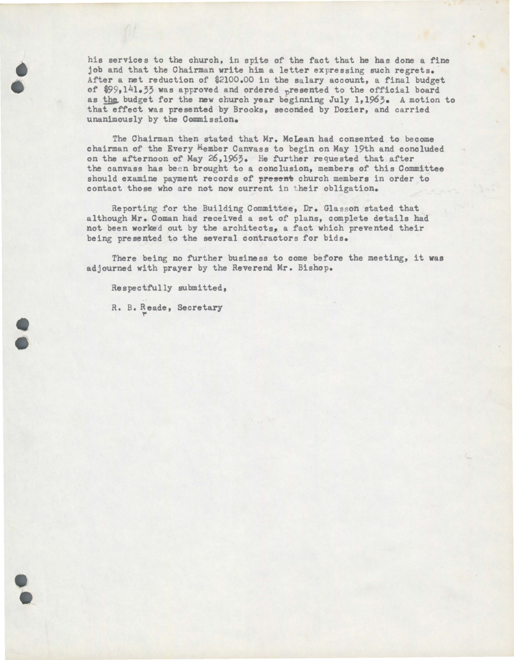his services to the church, in spite of the fact that he has done a fine job and that the Chairman write him a letter expressing such regrets. After a net reduction of \$2100.00 in the salary account, a final budget of  $$99,141.55$  was approved and ordered presented to the official board as the budget for the new church year beginning July  $1,1965$ . A motion to that effect was presented by Brooks, seconded by Dozier, and carried unanimously by the Commission.

The Chairman then stated that Mr. McLean had consented to become chairman of the Every Member Canvass to begin on May 19th and concluded on the afternoon of May 26,1963. He further requested that after the canvass has been brought to a conclusion, members of this Committee should examine payment records of present church members in order to contact those who are not now current in their obligation.

Reporting for the Building Committee, Dr. Glasson stated that although Mr. Coman had received a set of plans, complete details had not been worked out by the architects, a fact which prevented their being presented to the several contractors for bids.

There being no further business to come before the meeting, it was adjourned with prayer by the Reverend Mr. Bishop.

Respectfully submitted,

R. B. Reade, Secretary

e

•

e

•